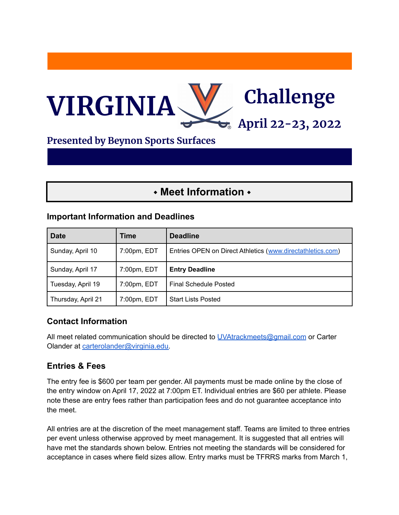

## **Presented by Beynon Sports Surfaces**

# ⬩ **Meet Information** ⬩

#### **Important Information and Deadlines**

| <b>Date</b>        | Time        | <b>Deadline</b>                                            |
|--------------------|-------------|------------------------------------------------------------|
| Sunday, April 10   | 7:00pm, EDT | Entries OPEN on Direct Athletics (www.directathletics.com) |
| Sunday, April 17   | 7:00pm, EDT | <b>Entry Deadline</b>                                      |
| Tuesday, April 19  | 7:00pm, EDT | Final Schedule Posted                                      |
| Thursday, April 21 | 7:00pm, EDT | <b>Start Lists Posted</b>                                  |

## **Contact Information**

All meet related communication should be directed to [UVAtrackmeets@gmail.com](mailto:UVAtrackmeets@gmail.com) or Carter Olander at [carterolander@virginia.edu.](mailto:carterolander@virginia.edu)

## **Entries & Fees**

The entry fee is \$600 per team per gender. All payments must be made online by the close of the entry window on April 17, 2022 at 7:00pm ET. Individual entries are \$60 per athlete. Please note these are entry fees rather than participation fees and do not guarantee acceptance into the meet.

All entries are at the discretion of the meet management staff. Teams are limited to three entries per event unless otherwise approved by meet management. It is suggested that all entries will have met the standards shown below. Entries not meeting the standards will be considered for acceptance in cases where field sizes allow. Entry marks must be TFRRS marks from March 1,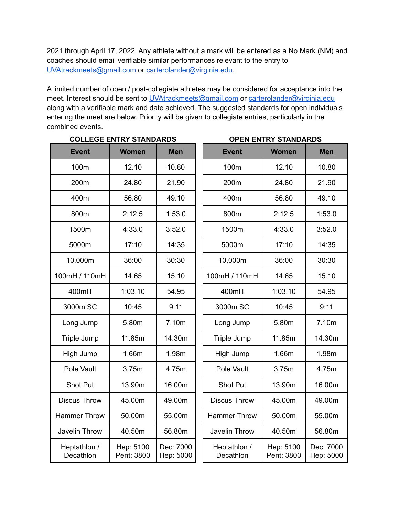2021 through April 17, 2022. Any athlete without a mark will be entered as a No Mark (NM) and coaches should email verifiable similar performances relevant to the entry to [UVAtrackmeets@gmail.com](mailto:UVAtrackmeets@gmail.com) or [carterolander@virginia.edu.](mailto:carterolander@virginia.edu)

A limited number of open / post-collegiate athletes may be considered for acceptance into the meet. Interest should be sent to [UVAtrackmeets@gmail.com](mailto:UVAtrackmeets@gmail.com) or [carterolander@virginia.edu](mailto:carterolander@virginia.edu) along with a verifiable mark and date achieved. The suggested standards for open individuals entering the meet are below. Priority will be given to collegiate entries, particularly in the combined events.

| <b>COLLEGE ENTRY STANDARDS</b> |                         |                        | <b>OPEN ENTRY STANDARDS</b> |                         |                        |  |
|--------------------------------|-------------------------|------------------------|-----------------------------|-------------------------|------------------------|--|
| <b>Event</b>                   | <b>Women</b>            | <b>Men</b>             | <b>Event</b>                | <b>Women</b>            | <b>Men</b>             |  |
| 100m                           | 12.10                   | 10.80                  | 100m                        | 12.10                   | 10.80                  |  |
| 200m                           | 24.80                   | 21.90                  | 200m                        | 24.80                   | 21.90                  |  |
| 400m                           | 56.80                   | 49.10                  | 400m                        | 56.80                   | 49.10                  |  |
| 800m                           | 2:12.5                  | 1:53.0                 | 800m                        | 2:12.5                  | 1:53.0                 |  |
| 1500m                          | 4:33.0                  | 3:52.0                 | 1500m                       | 4:33.0                  | 3:52.0                 |  |
| 5000m                          | 17:10                   | 14:35                  | 5000m                       | 17:10                   | 14:35                  |  |
| 10,000m                        | 36:00                   | 30:30                  | 10,000m                     | 36:00                   | 30:30                  |  |
| 100mH / 110mH                  | 14.65                   | 15.10                  | 100mH / 110mH               | 14.65                   | 15.10                  |  |
| 400mH                          | 1:03.10                 | 54.95                  | 400mH                       | 1:03.10                 | 54.95                  |  |
| 3000m SC                       | 10:45                   | 9:11                   | 3000m SC                    | 10:45                   | 9:11                   |  |
| Long Jump                      | 5.80m                   | 7.10m                  | Long Jump                   | 5.80m                   | 7.10m                  |  |
| Triple Jump                    | 11.85m                  | 14.30m                 | Triple Jump                 | 11.85m                  | 14.30m                 |  |
| High Jump                      | 1.66m                   | 1.98m                  | High Jump                   | 1.66m                   | 1.98m                  |  |
| Pole Vault                     | 3.75m                   | 4.75m                  | Pole Vault                  | 3.75m                   | 4.75m                  |  |
| <b>Shot Put</b>                | 13.90m                  | 16.00m                 | <b>Shot Put</b>             | 13.90m                  | 16.00m                 |  |
| <b>Discus Throw</b>            | 45.00m                  | 49.00m                 | <b>Discus Throw</b>         | 45.00m                  | 49.00m                 |  |
| <b>Hammer Throw</b>            | 50.00m                  | 55.00m                 | <b>Hammer Throw</b>         | 50.00m                  | 55.00m                 |  |
| Javelin Throw                  | 40.50m                  | 56.80m                 | Javelin Throw               | 40.50m                  | 56.80m                 |  |
| Heptathlon /<br>Decathlon      | Hep: 5100<br>Pent: 3800 | Dec: 7000<br>Hep: 5000 | Heptathlon /<br>Decathlon   | Hep: 5100<br>Pent: 3800 | Dec: 7000<br>Hep: 5000 |  |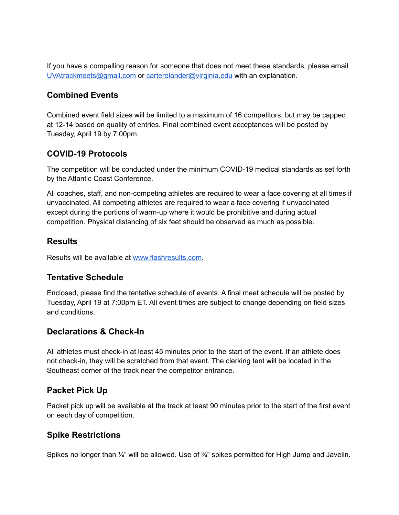If you have a compelling reason for someone that does not meet these standards, please email [UVAtrackmeets@gmail.com](mailto:UVAtrackmeets@gmaill.com) or [carterolander@virginia.edu](mailto:carterolander@virginia.edu) with an explanation.

#### **Combined Events**

Combined event field sizes will be limited to a maximum of 16 competitors, but may be capped at 12-14 based on quality of entries. Final combined event acceptances will be posted by Tuesday, April 19 by 7:00pm.

## **COVID-19 Protocols**

The competition will be conducted under the minimum COVID-19 medical standards as set forth by the Atlantic Coast Conference.

All coaches, staff, and non-competing athletes are required to wear a face covering at all times if unvaccinated. All competing athletes are required to wear a face covering if unvaccinated except during the portions of warm-up where it would be prohibitive and during actual competition. Physical distancing of six feet should be observed as much as possible.

## **Results**

Results will be available at [www.flashresults.com.](http://www.flashresults.com)

## **Tentative Schedule**

Enclosed, please find the tentative schedule of events. A final meet schedule will be posted by Tuesday, April 19 at 7:00pm ET. All event times are subject to change depending on field sizes and conditions.

## **Declarations & Check-In**

All athletes must check-in at least 45 minutes prior to the start of the event. If an athlete does not check-in, they will be scratched from that event. The clerking tent will be located in the Southeast corner of the track near the competitor entrance.

## **Packet Pick Up**

Packet pick up will be available at the track at least 90 minutes prior to the start of the first event on each day of competition.

## **Spike Restrictions**

Spikes no longer than  $\frac{1}{4}$ " will be allowed. Use of  $\frac{3}{4}$ " spikes permitted for High Jump and Javelin.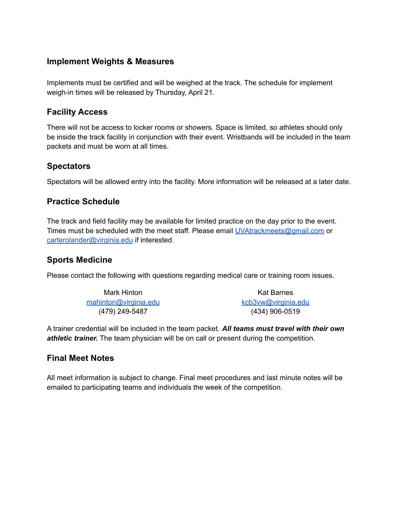## **Implement Weights & Measures**

Implements must be certified and will be weighed at the track. The schedule for implement weigh-in times will be released by Thursday, April 21.

#### **Facility Access**

There will not be access to locker rooms or showers. Space is limited, so athletes should only be inside the track facility in conjunction with their event. Wristbands will be included in the team packets and must be worn at all times.

#### **Spectators**

Spectators will be allowed entry into the facility. More information will be released at a later date.

#### **Practice Schedule**

The track and field facility may be available for limited practice on the day prior to the event. Times must be scheduled with the meet staff. Please email [UVAtrackmeets@gmail.com](mailto:UVAtrackmeets@gmail.com) or [carterolander@virginia.edu](mailto:carterolander@virginia.edu) if interested.

#### **Sports Medicine**

Please contact the following with questions regarding medical care or training room issues.

Mark Hinton [mahinton@virginia.edu](mailto:mahinton@virginia.edu) (479) 249-5487

Kat Barnes [kcb3vw@virginia.edu](mailto:kcb3vw@virginia.edu) (434) 906-0519

A trainer credential will be included in the team packet. *All teams must travel with their own athletic trainer.* The team physician will be on call or present during the competition.

#### **Final Meet Notes**

All meet information is subject to change. Final meet procedures and last minute notes will be emailed to participating teams and individuals the week of the competition.